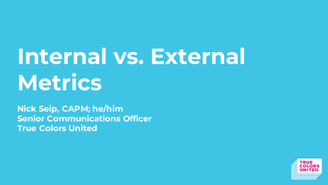# Internal vs. External **Metrics**

**Nick Seip, CAPM; he/him Senior Communications Officer True Colors United**

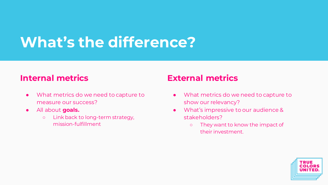# **What's the difference?**

#### **Internal metrics**

- What metrics do we need to capture to measure our success?
- All about **goals.**
	- Link back to long-term strategy, mission-fulfillment

### **External metrics**

- What metrics do we need to capture to show our relevancy?
- What's impressive to our audience & stakeholders?
	- They want to know the impact of their investment.

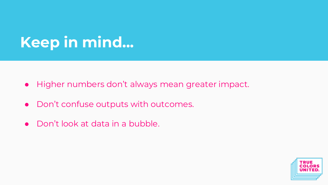# **Keep in mind...**

- Higher numbers don't always mean greater impact.
- Don't confuse outputs with outcomes.
- Don't look at data in a bubble.

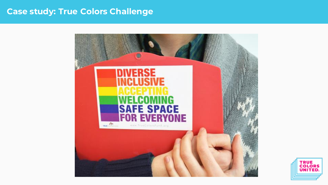#### **Case study: True Colors Challenge**



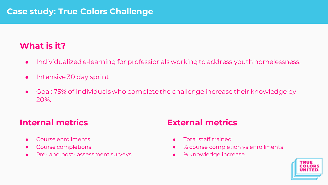### **What is it?**

- Individualized e-learning for professionals working to address youth homelessness.
- Intensive 30 day sprint
- Goal: 75% of individuals who complete the challenge increase their knowledge by 20%.

#### **Internal metrics**

- Course enrollments
- Course completions
- Pre- and post- assessment surveys

### **External metrics**

- Total staff trained
- <sup>%</sup> course completion vs enrollments
- % knowledge increase

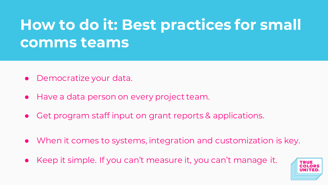# **How to do it: Best practices for small comms teams**

- Democratize your data.
- Have a data person on every project team.
- Get program staff input on grant reports & applications.
- When it comes to systems, integration and customization is key.
- Keep it simple. If you can't measure it, you can't manage it.